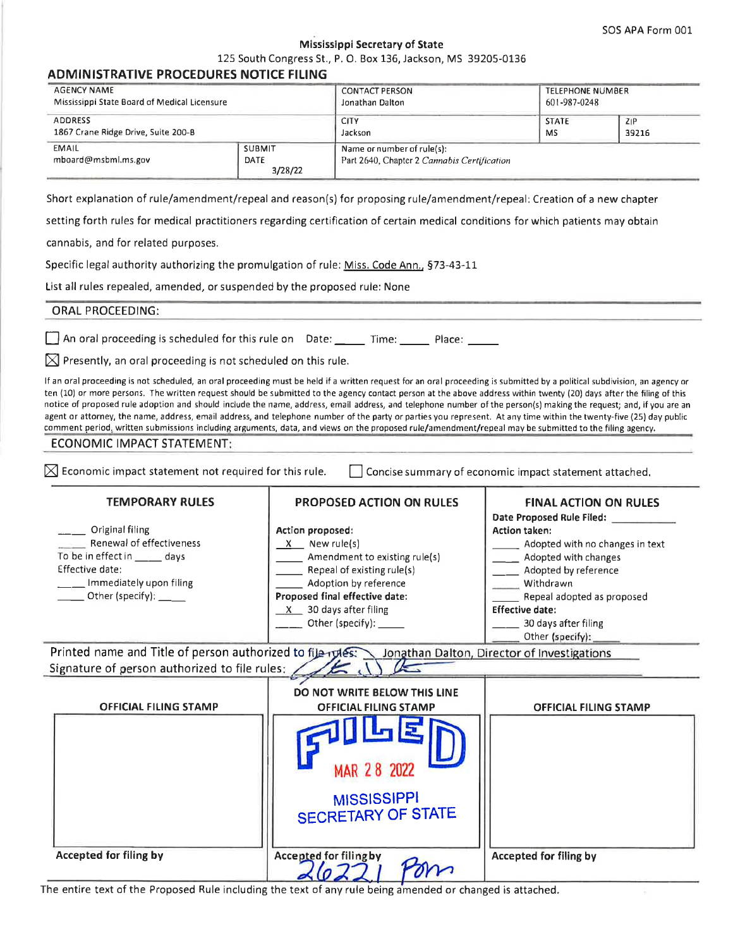SOS APA Form 001

#### Mississippi Secretary of State

125 South Congress St., P. O. Box 136, Jackson, MS 39205-0136

| <b>ADMINISTRATIVE PROCEDURES NOTICE FILING</b>                                                                                                                                                                                                                                                                                                                                                                                                                                                                                                                                                                                                                                                                  |                                  |                                                                                                       |  |                                                      |              |  |
|-----------------------------------------------------------------------------------------------------------------------------------------------------------------------------------------------------------------------------------------------------------------------------------------------------------------------------------------------------------------------------------------------------------------------------------------------------------------------------------------------------------------------------------------------------------------------------------------------------------------------------------------------------------------------------------------------------------------|----------------------------------|-------------------------------------------------------------------------------------------------------|--|------------------------------------------------------|--------------|--|
| <b>AGENCY NAME</b><br>Mississippi State Board of Medical Licensure                                                                                                                                                                                                                                                                                                                                                                                                                                                                                                                                                                                                                                              |                                  | <b>CONTACT PERSON</b><br>Jonathan Dalton                                                              |  | <b>TELEPHONE NUMBER</b><br>601-987-0248              |              |  |
| <b>ADDRESS</b><br>1867 Crane Ridge Drive, Suite 200-B                                                                                                                                                                                                                                                                                                                                                                                                                                                                                                                                                                                                                                                           |                                  | <b>CITY</b><br>Jackson                                                                                |  | <b>STATE</b><br>MS.                                  | ZIP<br>39216 |  |
| <b>EMAIL</b><br>mboard@msbml.ms.gov                                                                                                                                                                                                                                                                                                                                                                                                                                                                                                                                                                                                                                                                             | <b>SUBMIT</b><br>DATE<br>3/28/22 | Name or number of rule(s):<br>Part 2640, Chapter 2 Cannabis Certification                             |  |                                                      |              |  |
| Short explanation of rule/amendment/repeal and reason(s) for proposing rule/amendment/repeal: Creation of a new chapter                                                                                                                                                                                                                                                                                                                                                                                                                                                                                                                                                                                         |                                  |                                                                                                       |  |                                                      |              |  |
| setting forth rules for medical practitioners regarding certification of certain medical conditions for which patients may obtain                                                                                                                                                                                                                                                                                                                                                                                                                                                                                                                                                                               |                                  |                                                                                                       |  |                                                      |              |  |
| cannabis, and for related purposes.                                                                                                                                                                                                                                                                                                                                                                                                                                                                                                                                                                                                                                                                             |                                  |                                                                                                       |  |                                                      |              |  |
| Specific legal authority authorizing the promulgation of rule: Miss. Code Ann., §73-43-11                                                                                                                                                                                                                                                                                                                                                                                                                                                                                                                                                                                                                       |                                  |                                                                                                       |  |                                                      |              |  |
| List all rules repealed, amended, or suspended by the proposed rule: None                                                                                                                                                                                                                                                                                                                                                                                                                                                                                                                                                                                                                                       |                                  |                                                                                                       |  |                                                      |              |  |
| <b>ORAL PROCEEDING:</b>                                                                                                                                                                                                                                                                                                                                                                                                                                                                                                                                                                                                                                                                                         |                                  |                                                                                                       |  |                                                      |              |  |
| An oral proceeding is scheduled for this rule on Date: ______ Time: ______ Place: _____                                                                                                                                                                                                                                                                                                                                                                                                                                                                                                                                                                                                                         |                                  |                                                                                                       |  |                                                      |              |  |
| $\boxtimes$ Presently, an oral proceeding is not scheduled on this rule.                                                                                                                                                                                                                                                                                                                                                                                                                                                                                                                                                                                                                                        |                                  |                                                                                                       |  |                                                      |              |  |
| ten (10) or more persons. The written request should be submitted to the agency contact person at the above address within twenty (20) days after the filing of this<br>notice of proposed rule adoption and should include the name, address, email address, and telephone number of the person(s) making the request; and, if you are an<br>agent or attorney, the name, address, email address, and telephone number of the party or parties you represent. At any time within the twenty-five (25) day public<br>comment period, written submissions including arguments, data, and views on the proposed rule/amendment/repeal may be submitted to the filing agency.<br><b>ECONOMIC IMPACT STATEMENT:</b> |                                  |                                                                                                       |  |                                                      |              |  |
| $\boxtimes$ Economic impact statement not required for this rule.                                                                                                                                                                                                                                                                                                                                                                                                                                                                                                                                                                                                                                               |                                  | Concise summary of economic impact statement attached.                                                |  |                                                      |              |  |
| <b>TEMPORARY RULES</b>                                                                                                                                                                                                                                                                                                                                                                                                                                                                                                                                                                                                                                                                                          |                                  | <b>PROPOSED ACTION ON RULES</b><br><b>FINAL ACTION ON RULES</b><br>Date Proposed Rule Filed: ________ |  |                                                      |              |  |
| Original filing<br><b>Action proposed:</b>                                                                                                                                                                                                                                                                                                                                                                                                                                                                                                                                                                                                                                                                      |                                  |                                                                                                       |  | <b>Action taken:</b>                                 |              |  |
| Renewal of effectiveness<br>To be in effect in ___ days                                                                                                                                                                                                                                                                                                                                                                                                                                                                                                                                                                                                                                                         | $X$ New rule(s)                  |                                                                                                       |  | ______ Adopted with no changes in text               |              |  |
| Effective date:                                                                                                                                                                                                                                                                                                                                                                                                                                                                                                                                                                                                                                                                                                 |                                  | Amendment to existing rule(s)<br>Repeal of existing rule(s)                                           |  | __ _ Adopted with changes<br>Adopted by reference    |              |  |
| _Immediately upon filing                                                                                                                                                                                                                                                                                                                                                                                                                                                                                                                                                                                                                                                                                        |                                  | Adoption by reference                                                                                 |  | Withdrawn                                            |              |  |
| Other (specify): ___                                                                                                                                                                                                                                                                                                                                                                                                                                                                                                                                                                                                                                                                                            |                                  | Proposed final effective date:                                                                        |  | Repeal adopted as proposed<br><b>Effective date:</b> |              |  |
|                                                                                                                                                                                                                                                                                                                                                                                                                                                                                                                                                                                                                                                                                                                 |                                  | $X$ 30 days after filing<br>Other (specify): ______                                                   |  | 30 days after filing                                 |              |  |
|                                                                                                                                                                                                                                                                                                                                                                                                                                                                                                                                                                                                                                                                                                                 |                                  |                                                                                                       |  | Other (specify):                                     |              |  |
| Printed name and Title of person authorized to file rules: Jonathan Dalton, Director of Investigations<br>Signature of person authorized to file rules:                                                                                                                                                                                                                                                                                                                                                                                                                                                                                                                                                         |                                  |                                                                                                       |  |                                                      |              |  |
|                                                                                                                                                                                                                                                                                                                                                                                                                                                                                                                                                                                                                                                                                                                 |                                  | DO NOT WRITE BELOW THIS LINE                                                                          |  |                                                      |              |  |
| <b>OFFICIAL FILING STAMP</b>                                                                                                                                                                                                                                                                                                                                                                                                                                                                                                                                                                                                                                                                                    |                                  | <b>OFFICIAL FILING STAMP</b>                                                                          |  | <b>OFFICIAL FILING STAMP</b>                         |              |  |
|                                                                                                                                                                                                                                                                                                                                                                                                                                                                                                                                                                                                                                                                                                                 |                                  | MAR 28 2022                                                                                           |  |                                                      |              |  |
|                                                                                                                                                                                                                                                                                                                                                                                                                                                                                                                                                                                                                                                                                                                 |                                  | <b>MISSISSIPPI</b><br><b>SECRETARY OF STATE</b>                                                       |  |                                                      |              |  |
| <b>Accepted for filing by</b>                                                                                                                                                                                                                                                                                                                                                                                                                                                                                                                                                                                                                                                                                   |                                  | Accepted for filing by<br>Dans                                                                        |  | <b>Accepted for filing by</b>                        |              |  |

The entire text of the Proposed Rule including the text of any rule being amended or changed is attached.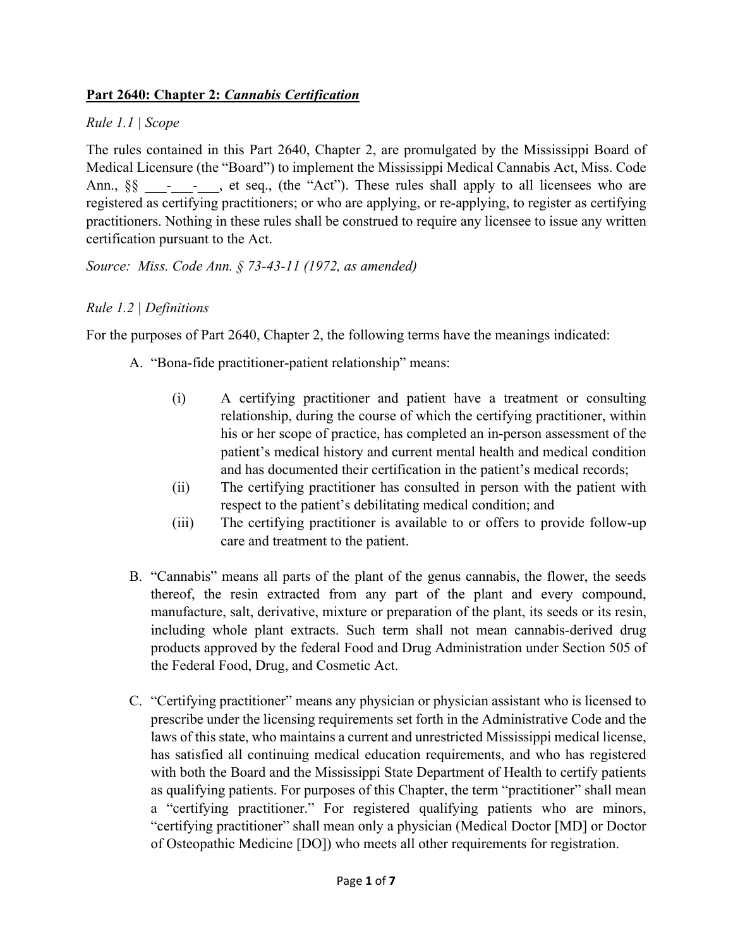# **Part 2640: Chapter 2:** *Cannabis Certification*

### *Rule 1.1 | Scope*

The rules contained in this Part 2640, Chapter 2, are promulgated by the Mississippi Board of Medical Licensure (the "Board") to implement the Mississippi Medical Cannabis Act, Miss. Code Ann., §§ - - , et seq., (the "Act"). These rules shall apply to all licensees who are registered as certifying practitioners; or who are applying, or re-applying, to register as certifying practitioners. Nothing in these rules shall be construed to require any licensee to issue any written certification pursuant to the Act.

*Source: Miss. Code Ann. § 73-43-11 (1972, as amended)* 

# *Rule 1.2 | Definitions*

For the purposes of Part 2640, Chapter 2, the following terms have the meanings indicated:

- A. "Bona-fide practitioner-patient relationship" means:
	- (i) A certifying practitioner and patient have a treatment or consulting relationship, during the course of which the certifying practitioner, within his or her scope of practice, has completed an in-person assessment of the patient's medical history and current mental health and medical condition and has documented their certification in the patient's medical records;
	- (ii) The certifying practitioner has consulted in person with the patient with respect to the patient's debilitating medical condition; and
	- (iii) The certifying practitioner is available to or offers to provide follow-up care and treatment to the patient.
- B. "Cannabis" means all parts of the plant of the genus cannabis, the flower, the seeds thereof, the resin extracted from any part of the plant and every compound, manufacture, salt, derivative, mixture or preparation of the plant, its seeds or its resin, including whole plant extracts. Such term shall not mean cannabis-derived drug products approved by the federal Food and Drug Administration under Section 505 of the Federal Food, Drug, and Cosmetic Act.
- C. "Certifying practitioner" means any physician or physician assistant who is licensed to prescribe under the licensing requirements set forth in the Administrative Code and the laws of this state, who maintains a current and unrestricted Mississippi medical license, has satisfied all continuing medical education requirements, and who has registered with both the Board and the Mississippi State Department of Health to certify patients as qualifying patients. For purposes of this Chapter, the term "practitioner" shall mean a "certifying practitioner." For registered qualifying patients who are minors, "certifying practitioner" shall mean only a physician (Medical Doctor [MD] or Doctor of Osteopathic Medicine [DO]) who meets all other requirements for registration.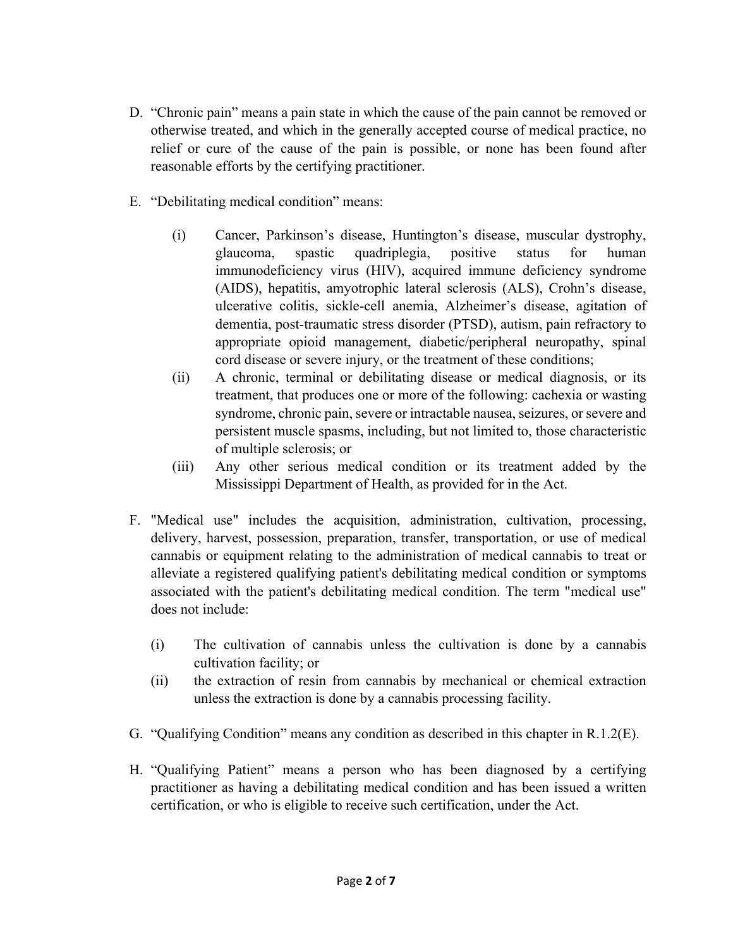- D. "Chronic pain" means a pain state in which the cause of the pain cannot be removed or otherwise treated, and which in the generally accepted course of medical practice, no relief or cure of the cause of the pain is possible, or none has been found after reasonable efforts by the certifying practitioner.
- E. "Debilitating medical condition" means:
	- (i) Cancer, Parkinson's disease, Huntington's disease, muscular dystrophy, glaucoma, spastic quadriplegia, positive status for human immunodeficiency virus (HIV), acquired immune deficiency syndrome (AIDS), hepatitis, amyotrophic lateral sclerosis (ALS), Crohn's disease, ulcerative colitis, sickle-cell anemia, Alzheimer's disease, agitation of dementia, post-traumatic stress disorder (PTSD), autism, pain refractory to appropriate opioid management, diabetic/peripheral neuropathy, spinal cord disease or severe injury, or the treatment of these conditions;
	- (ii) A chronic, terminal or debilitating disease or medical diagnosis, or its treatment, that produces one or more of the following: cachexia or wasting syndrome, chronic pain, severe or intractable nausea, seizures, or severe and persistent muscle spasms, including, but not limited to, those characteristic of multiple sclerosis; or
	- (iii) Any other serious medical condition or its treatment added by the Mississippi Department of Health, as provided for in the Act.
- F. "Medical use" includes the acquisition, administration, cultivation, processing, delivery, harvest, possession, preparation, transfer, transportation, or use of medical cannabis or equipment relating to the administration of medical cannabis to treat or alleviate a registered qualifying patient's debilitating medical condition or symptoms associated with the patient's debilitating medical condition. The term "medical use" does not include:
	- (i) The cultivation of cannabis unless the cultivation is done by a cannabis cultivation facility; or
	- (ii) the extraction of resin from cannabis by mechanical or chemical extraction unless the extraction is done by a cannabis processing facility.
- G. "Qualifying Condition" means any condition as described in this chapter in R.1.2(E).
- H. "Qualifying Patient" means a person who has been diagnosed by a certifying practitioner as having a debilitating medical condition and has been issued a written certification, or who is eligible to receive such certification, under the Act.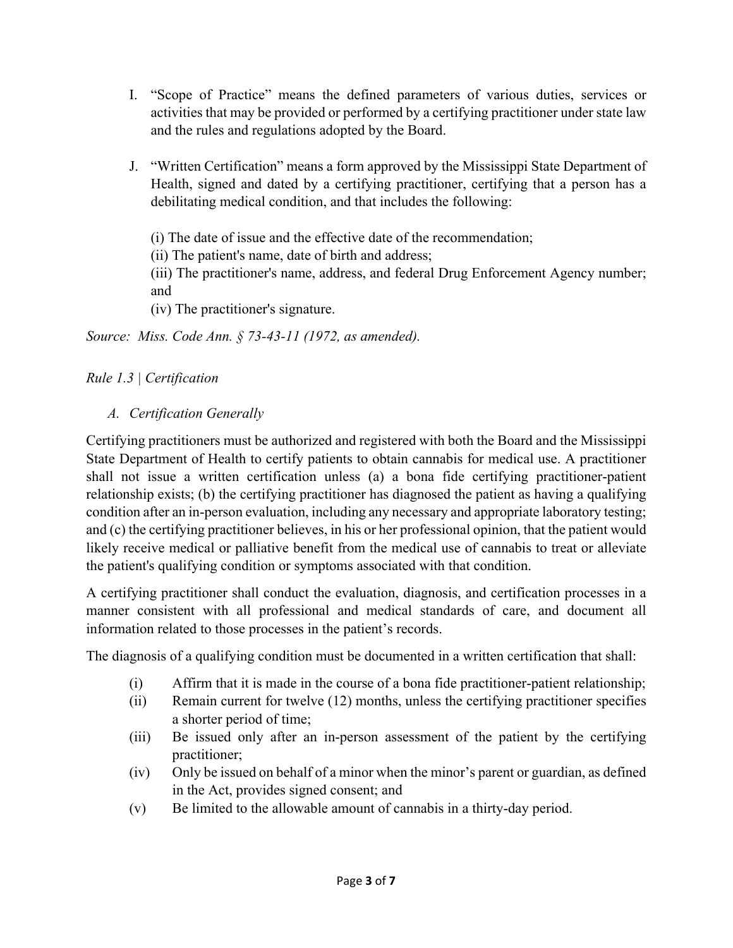- I. "Scope of Practice" means the defined parameters of various duties, services or activities that may be provided or performed by a certifying practitioner under state law and the rules and regulations adopted by the Board.
- J. "Written Certification" means a form approved by the Mississippi State Department of Health, signed and dated by a certifying practitioner, certifying that a person has a debilitating medical condition, and that includes the following:

(i) The date of issue and the effective date of the recommendation;

(ii) The patient's name, date of birth and address;

(iii) The practitioner's name, address, and federal Drug Enforcement Agency number; and

(iv) The practitioner's signature.

*Source: Miss. Code Ann. § 73-43-11 (1972, as amended).* 

# *Rule 1.3 | Certification*

# *A. Certification Generally*

Certifying practitioners must be authorized and registered with both the Board and the Mississippi State Department of Health to certify patients to obtain cannabis for medical use. A practitioner shall not issue a written certification unless (a) a bona fide certifying practitioner-patient relationship exists; (b) the certifying practitioner has diagnosed the patient as having a qualifying condition after an in-person evaluation, including any necessary and appropriate laboratory testing; and (c) the certifying practitioner believes, in his or her professional opinion, that the patient would likely receive medical or palliative benefit from the medical use of cannabis to treat or alleviate the patient's qualifying condition or symptoms associated with that condition.

A certifying practitioner shall conduct the evaluation, diagnosis, and certification processes in a manner consistent with all professional and medical standards of care, and document all information related to those processes in the patient's records.

The diagnosis of a qualifying condition must be documented in a written certification that shall:

- (i) Affirm that it is made in the course of a bona fide practitioner-patient relationship;
- (ii) Remain current for twelve (12) months, unless the certifying practitioner specifies a shorter period of time;
- (iii) Be issued only after an in-person assessment of the patient by the certifying practitioner;
- (iv) Only be issued on behalf of a minor when the minor's parent or guardian, as defined in the Act, provides signed consent; and
- (v) Be limited to the allowable amount of cannabis in a thirty-day period.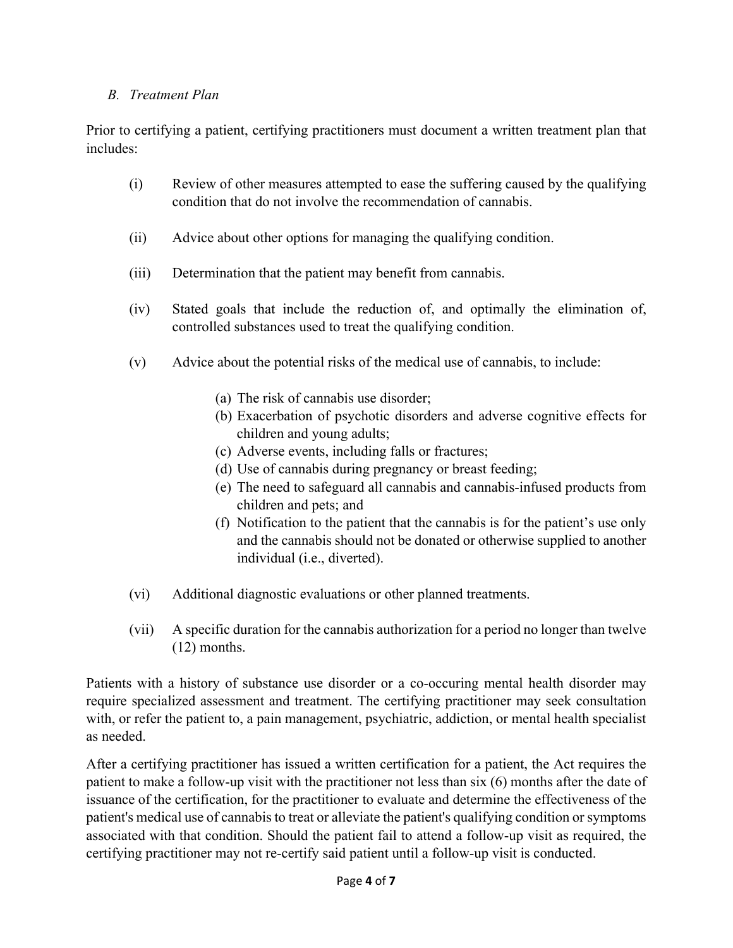## *B. Treatment Plan*

Prior to certifying a patient, certifying practitioners must document a written treatment plan that includes:

- (i) Review of other measures attempted to ease the suffering caused by the qualifying condition that do not involve the recommendation of cannabis.
- (ii) Advice about other options for managing the qualifying condition.
- (iii) Determination that the patient may benefit from cannabis.
- (iv) Stated goals that include the reduction of, and optimally the elimination of, controlled substances used to treat the qualifying condition.
- (v) Advice about the potential risks of the medical use of cannabis, to include:
	- (a) The risk of cannabis use disorder;
	- (b) Exacerbation of psychotic disorders and adverse cognitive effects for children and young adults;
	- (c) Adverse events, including falls or fractures;
	- (d) Use of cannabis during pregnancy or breast feeding;
	- (e) The need to safeguard all cannabis and cannabis-infused products from children and pets; and
	- (f) Notification to the patient that the cannabis is for the patient's use only and the cannabis should not be donated or otherwise supplied to another individual (i.e., diverted).
- (vi) Additional diagnostic evaluations or other planned treatments.
- (vii) A specific duration for the cannabis authorization for a period no longer than twelve (12) months.

Patients with a history of substance use disorder or a co-occuring mental health disorder may require specialized assessment and treatment. The certifying practitioner may seek consultation with, or refer the patient to, a pain management, psychiatric, addiction, or mental health specialist as needed.

After a certifying practitioner has issued a written certification for a patient, the Act requires the patient to make a follow-up visit with the practitioner not less than six (6) months after the date of issuance of the certification, for the practitioner to evaluate and determine the effectiveness of the patient's medical use of cannabis to treat or alleviate the patient's qualifying condition or symptoms associated with that condition. Should the patient fail to attend a follow-up visit as required, the certifying practitioner may not re-certify said patient until a follow-up visit is conducted.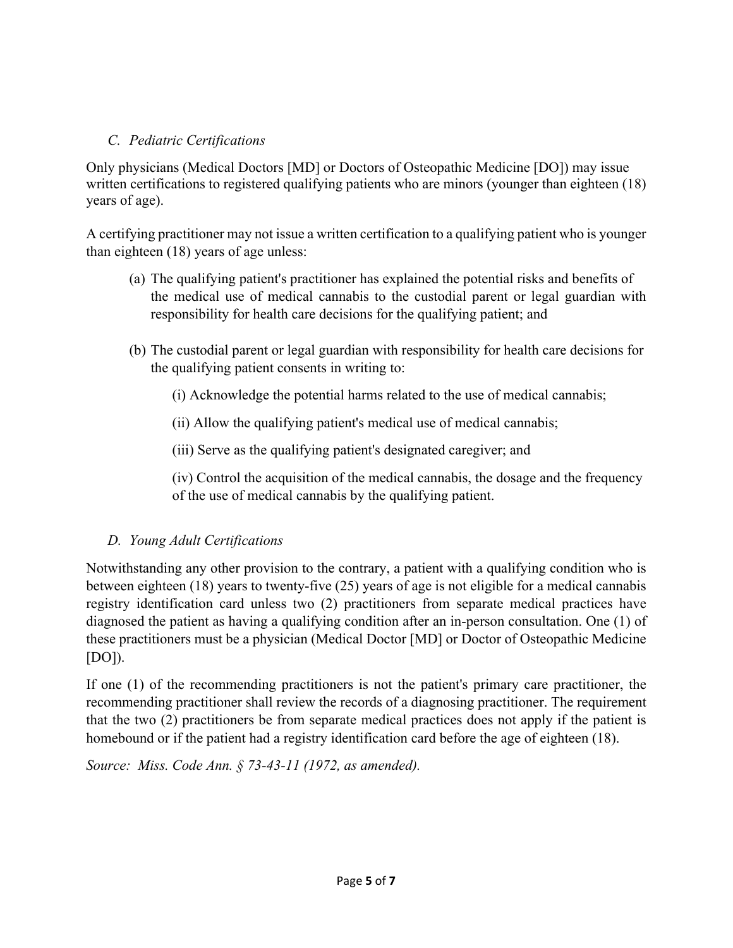# *C. Pediatric Certifications*

Only physicians (Medical Doctors [MD] or Doctors of Osteopathic Medicine [DO]) may issue written certifications to registered qualifying patients who are minors (younger than eighteen (18) years of age).

A certifying practitioner may not issue a written certification to a qualifying patient who is younger than eighteen (18) years of age unless:

- (a) The qualifying patient's practitioner has explained the potential risks and benefits of the medical use of medical cannabis to the custodial parent or legal guardian with responsibility for health care decisions for the qualifying patient; and
- (b) The custodial parent or legal guardian with responsibility for health care decisions for the qualifying patient consents in writing to:

(i) Acknowledge the potential harms related to the use of medical cannabis;

(ii) Allow the qualifying patient's medical use of medical cannabis;

(iii) Serve as the qualifying patient's designated caregiver; and

(iv) Control the acquisition of the medical cannabis, the dosage and the frequency of the use of medical cannabis by the qualifying patient.

# *D. Young Adult Certifications*

Notwithstanding any other provision to the contrary, a patient with a qualifying condition who is between eighteen (18) years to twenty-five (25) years of age is not eligible for a medical cannabis registry identification card unless two (2) practitioners from separate medical practices have diagnosed the patient as having a qualifying condition after an in-person consultation. One (1) of these practitioners must be a physician (Medical Doctor [MD] or Doctor of Osteopathic Medicine  $[DO]$ ).

If one (1) of the recommending practitioners is not the patient's primary care practitioner, the recommending practitioner shall review the records of a diagnosing practitioner. The requirement that the two (2) practitioners be from separate medical practices does not apply if the patient is homebound or if the patient had a registry identification card before the age of eighteen (18).

*Source: Miss. Code Ann. § 73-43-11 (1972, as amended).*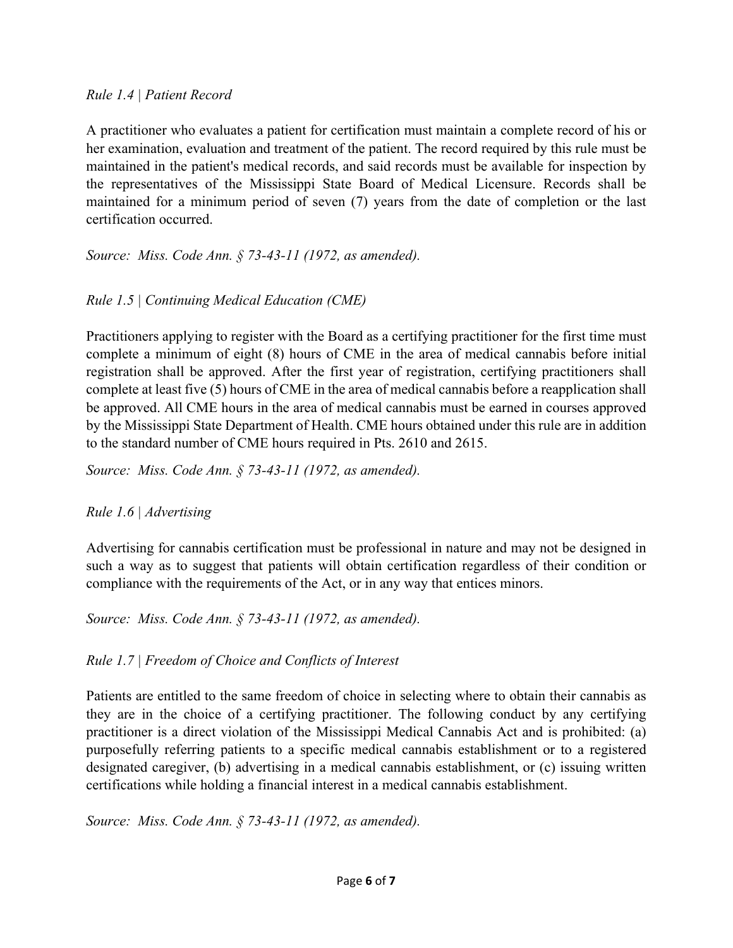#### *Rule 1.4 | Patient Record*

A practitioner who evaluates a patient for certification must maintain a complete record of his or her examination, evaluation and treatment of the patient. The record required by this rule must be maintained in the patient's medical records, and said records must be available for inspection by the representatives of the Mississippi State Board of Medical Licensure. Records shall be maintained for a minimum period of seven (7) years from the date of completion or the last certification occurred.

*Source: Miss. Code Ann. § 73-43-11 (1972, as amended).* 

## *Rule 1.5 | Continuing Medical Education (CME)*

Practitioners applying to register with the Board as a certifying practitioner for the first time must complete a minimum of eight (8) hours of CME in the area of medical cannabis before initial registration shall be approved. After the first year of registration, certifying practitioners shall complete at least five (5) hours of CME in the area of medical cannabis before a reapplication shall be approved. All CME hours in the area of medical cannabis must be earned in courses approved by the Mississippi State Department of Health. CME hours obtained under this rule are in addition to the standard number of CME hours required in Pts. 2610 and 2615.

*Source: Miss. Code Ann. § 73-43-11 (1972, as amended).* 

#### *Rule 1.6 | Advertising*

Advertising for cannabis certification must be professional in nature and may not be designed in such a way as to suggest that patients will obtain certification regardless of their condition or compliance with the requirements of the Act, or in any way that entices minors.

*Source: Miss. Code Ann. § 73-43-11 (1972, as amended).* 

#### *Rule 1.7 | Freedom of Choice and Conflicts of Interest*

Patients are entitled to the same freedom of choice in selecting where to obtain their cannabis as they are in the choice of a certifying practitioner. The following conduct by any certifying practitioner is a direct violation of the Mississippi Medical Cannabis Act and is prohibited: (a) purposefully referring patients to a specific medical cannabis establishment or to a registered designated caregiver, (b) advertising in a medical cannabis establishment, or (c) issuing written certifications while holding a financial interest in a medical cannabis establishment.

*Source: Miss. Code Ann. § 73-43-11 (1972, as amended).*